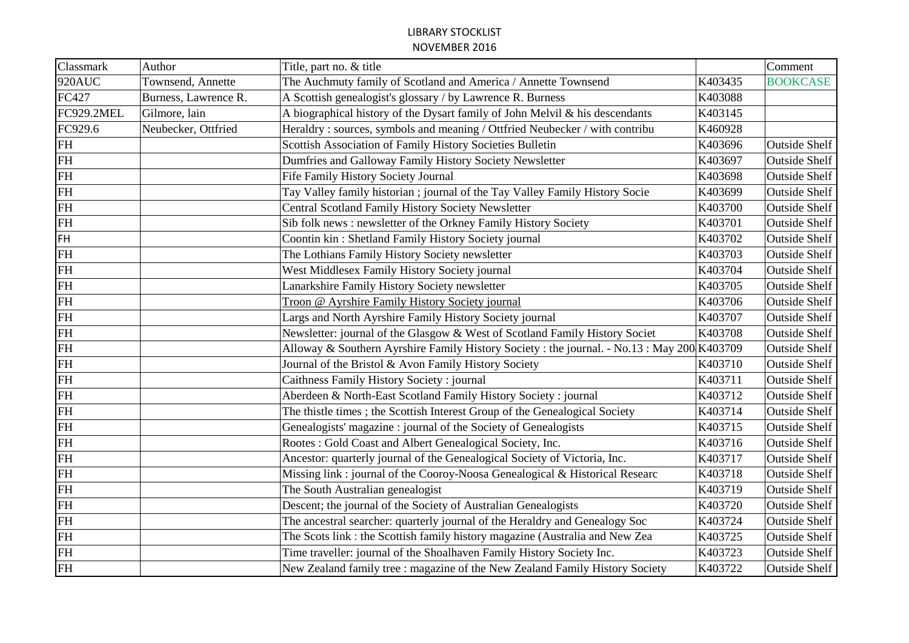| Classmark  | Author               | Title, part no. & title                                                                     |         | Comment              |
|------------|----------------------|---------------------------------------------------------------------------------------------|---------|----------------------|
| 920AUC     | Townsend, Annette    | The Auchmuty family of Scotland and America / Annette Townsend                              | K403435 | <b>BOOKCASE</b>      |
| FC427      | Burness, Lawrence R. | A Scottish genealogist's glossary / by Lawrence R. Burness                                  | K403088 |                      |
| FC929.2MEL | Gilmore, lain        | A biographical history of the Dysart family of John Melvil & his descendants                | K403145 |                      |
| FC929.6    | Neubecker, Ottfried  | Heraldry: sources, symbols and meaning / Ottfried Neubecker / with contribu                 | K460928 |                      |
| <b>FH</b>  |                      | Scottish Association of Family History Societies Bulletin                                   | K403696 | <b>Outside Shelf</b> |
| <b>FH</b>  |                      | Dumfries and Galloway Family History Society Newsletter                                     | K403697 | <b>Outside Shelf</b> |
| <b>FH</b>  |                      | Fife Family History Society Journal                                                         | K403698 | <b>Outside Shelf</b> |
| FH         |                      | Tay Valley family historian; journal of the Tay Valley Family History Socie                 | K403699 | <b>Outside Shelf</b> |
| <b>FH</b>  |                      | <b>Central Scotland Family History Society Newsletter</b>                                   | K403700 | <b>Outside Shelf</b> |
| FH         |                      | Sib folk news : newsletter of the Orkney Family History Society                             | K403701 | <b>Outside Shelf</b> |
| <b>FH</b>  |                      | Coontin kin: Shetland Family History Society journal                                        | K403702 | <b>Outside Shelf</b> |
| FH         |                      | The Lothians Family History Society newsletter                                              | K403703 | <b>Outside Shelf</b> |
| <b>FH</b>  |                      | West Middlesex Family History Society journal                                               | K403704 | <b>Outside Shelf</b> |
| <b>FH</b>  |                      | Lanarkshire Family History Society newsletter                                               | K403705 | <b>Outside Shelf</b> |
| <b>FH</b>  |                      | Troon @ Ayrshire Family History Society journal                                             | K403706 | <b>Outside Shelf</b> |
| <b>FH</b>  |                      | Largs and North Ayrshire Family History Society journal                                     | K403707 | <b>Outside Shelf</b> |
| FH         |                      | Newsletter: journal of the Glasgow & West of Scotland Family History Societ                 | K403708 | <b>Outside Shelf</b> |
| FH         |                      | Alloway & Southern Ayrshire Family History Society : the journal. - No.13 : May 200 K403709 |         | <b>Outside Shelf</b> |
| <b>FH</b>  |                      | Journal of the Bristol & Avon Family History Society                                        | K403710 | <b>Outside Shelf</b> |
| FH         |                      | Caithness Family History Society : journal                                                  | K403711 | <b>Outside Shelf</b> |
| <b>FH</b>  |                      | Aberdeen & North-East Scotland Family History Society : journal                             | K403712 | <b>Outside Shelf</b> |
| <b>FH</b>  |                      | The thistle times; the Scottish Interest Group of the Genealogical Society                  | K403714 | <b>Outside Shelf</b> |
| <b>FH</b>  |                      | Genealogists' magazine : journal of the Society of Genealogists                             | K403715 | <b>Outside Shelf</b> |
| FH         |                      | Rootes: Gold Coast and Albert Genealogical Society, Inc.                                    | K403716 | <b>Outside Shelf</b> |
| <b>FH</b>  |                      | Ancestor: quarterly journal of the Genealogical Society of Victoria, Inc.                   | K403717 | <b>Outside Shelf</b> |
| FH         |                      | Missing link : journal of the Cooroy-Noosa Genealogical & Historical Researc                | K403718 | <b>Outside Shelf</b> |
| <b>FH</b>  |                      | The South Australian genealogist                                                            | K403719 | <b>Outside Shelf</b> |
| FH         |                      | Descent; the journal of the Society of Australian Genealogists                              | K403720 | <b>Outside Shelf</b> |
| <b>FH</b>  |                      | The ancestral searcher: quarterly journal of the Heraldry and Genealogy Soc                 | K403724 | <b>Outside Shelf</b> |
| FH         |                      | The Scots link: the Scottish family history magazine (Australia and New Zea                 | K403725 | <b>Outside Shelf</b> |
| <b>FH</b>  |                      | Time traveller: journal of the Shoalhaven Family History Society Inc.                       | K403723 | <b>Outside Shelf</b> |
| FH         |                      | New Zealand family tree : magazine of the New Zealand Family History Society                | K403722 | <b>Outside Shelf</b> |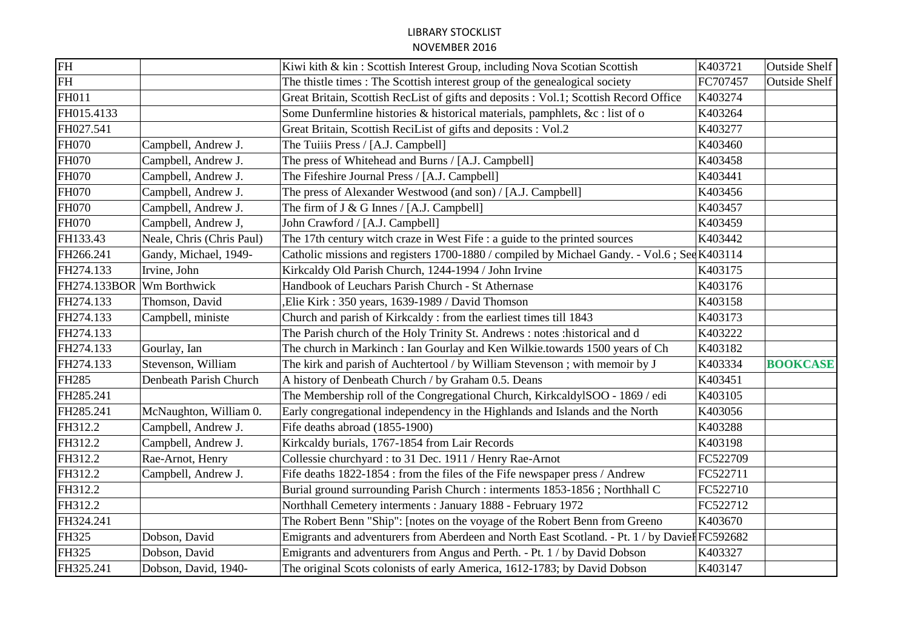| FH                                |                           | Kiwi kith & kin: Scottish Interest Group, including Nova Scotian Scottish                     | K403721  | <b>Outside Shelf</b> |
|-----------------------------------|---------------------------|-----------------------------------------------------------------------------------------------|----------|----------------------|
| $\ensuremath{\mathsf{FH}}\xspace$ |                           | The thistle times : The Scottish interest group of the genealogical society                   | FC707457 | <b>Outside Shelf</b> |
| FH011                             |                           | Great Britain, Scottish RecList of gifts and deposits : Vol.1; Scottish Record Office         | K403274  |                      |
| FH015.4133                        |                           | Some Dunfermline histories & historical materials, pamphlets, &c : list of o                  | K403264  |                      |
| FH027.541                         |                           | Great Britain, Scottish ReciList of gifts and deposits : Vol.2                                | K403277  |                      |
| <b>FH070</b>                      | Campbell, Andrew J.       | The Tuiiis Press / [A.J. Campbell]                                                            | K403460  |                      |
| <b>FH070</b>                      | Campbell, Andrew J.       | The press of Whitehead and Burns / [A.J. Campbell]                                            | K403458  |                      |
| <b>FH070</b>                      | Campbell, Andrew J.       | The Fifeshire Journal Press / [A.J. Campbell]                                                 | K403441  |                      |
| <b>FH070</b>                      | Campbell, Andrew J.       | The press of Alexander Westwood (and son) / [A.J. Campbell]                                   | K403456  |                      |
| <b>FH070</b>                      | Campbell, Andrew J.       | The firm of $J & G$ Innes / [A.J. Campbell]                                                   | K403457  |                      |
| <b>FH070</b>                      | Campbell, Andrew J,       | John Crawford / [A.J. Campbell]                                                               | K403459  |                      |
| FH133.43                          | Neale, Chris (Chris Paul) | The 17th century witch craze in West Fife : a guide to the printed sources                    | K403442  |                      |
| FH266.241                         | Gandy, Michael, 1949-     | Catholic missions and registers 1700-1880 / compiled by Michael Gandy. - Vol.6; See K403114   |          |                      |
| FH274.133                         | Irvine, John              | Kirkcaldy Old Parish Church, 1244-1994 / John Irvine                                          | K403175  |                      |
| FH274.133BOR                      | Wm Borthwick              | Handbook of Leuchars Parish Church - St Athernase                                             | K403176  |                      |
| FH274.133                         | Thomson, David            | Elie Kirk: 350 years, 1639-1989 / David Thomson,                                              | K403158  |                      |
| FH274.133                         | Campbell, ministe         | Church and parish of Kirkcaldy: from the earliest times till 1843                             | K403173  |                      |
| FH274.133                         |                           | The Parish church of the Holy Trinity St. Andrews : notes : historical and d                  | K403222  |                      |
| FH274.133                         | Gourlay, Ian              | The church in Markinch: Ian Gourlay and Ken Wilkie.towards 1500 years of Ch                   | K403182  |                      |
| FH274.133                         | Stevenson, William        | The kirk and parish of Auchtertool / by William Stevenson; with memoir by J                   | K403334  | <b>BOOKCASE</b>      |
| <b>FH285</b>                      | Denbeath Parish Church    | A history of Denbeath Church / by Graham 0.5. Deans                                           | K403451  |                      |
| FH285.241                         |                           | The Membership roll of the Congregational Church, KirkcaldylSOO - 1869 / edi                  | K403105  |                      |
| FH285.241                         | McNaughton, William 0.    | Early congregational independency in the Highlands and Islands and the North                  | K403056  |                      |
| FH312.2                           | Campbell, Andrew J.       | Fife deaths abroad (1855-1900)                                                                | K403288  |                      |
| FH312.2                           | Campbell, Andrew J.       | Kirkcaldy burials, 1767-1854 from Lair Records                                                | K403198  |                      |
| FH312.2                           | Rae-Arnot, Henry          | Collessie churchyard : to 31 Dec. 1911 / Henry Rae-Arnot                                      | FC522709 |                      |
| FH312.2                           | Campbell, Andrew J.       | Fife deaths 1822-1854 : from the files of the Fife newspaper press / Andrew                   | FC522711 |                      |
| FH312.2                           |                           | Burial ground surrounding Parish Church : interments 1853-1856 ; Northhall C                  | FC522710 |                      |
| FH312.2                           |                           | Northhall Cemetery interments: January 1888 - February 1972                                   | FC522712 |                      |
| FH324.241                         |                           | The Robert Benn "Ship": [notes on the voyage of the Robert Benn from Greeno                   | K403670  |                      |
| FH325                             | Dobson, David             | Emigrants and adventurers from Aberdeen and North East Scotland. - Pt. 1 / by Davier FC592682 |          |                      |
| FH325                             | Dobson, David             | Emigrants and adventurers from Angus and Perth. - Pt. 1 / by David Dobson                     | K403327  |                      |
| FH325.241                         | Dobson, David, 1940-      | The original Scots colonists of early America, 1612-1783; by David Dobson                     | K403147  |                      |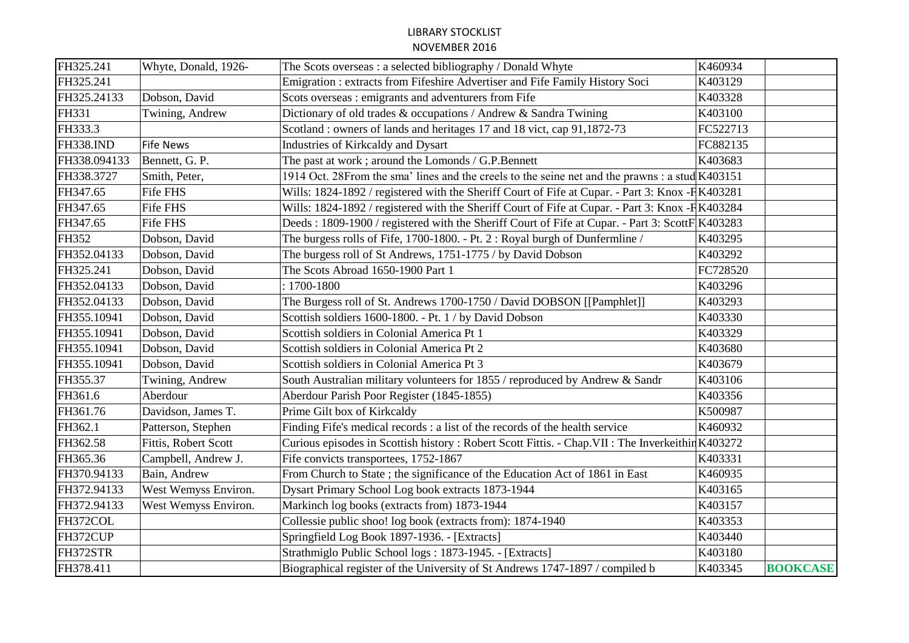| FH325.241    | Whyte, Donald, 1926- | The Scots overseas : a selected bibliography / Donald Whyte                                      | K460934  |                 |
|--------------|----------------------|--------------------------------------------------------------------------------------------------|----------|-----------------|
| FH325.241    |                      | Emigration: extracts from Fifeshire Advertiser and Fife Family History Soci                      | K403129  |                 |
| FH325.24133  | Dobson, David        | Scots overseas : emigrants and adventurers from Fife                                             | K403328  |                 |
| FH331        | Twining, Andrew      | Dictionary of old trades & occupations / Andrew & Sandra Twining                                 | K403100  |                 |
| FH333.3      |                      | Scotland: owners of lands and heritages 17 and 18 vict, cap 91,1872-73                           | FC522713 |                 |
| FH338.IND    | <b>Fife News</b>     | Industries of Kirkcaldy and Dysart                                                               | FC882135 |                 |
| FH338.094133 | Bennett, G. P.       | The past at work; around the Lomonds / G.P.Bennett                                               | K403683  |                 |
| FH338.3727   | Smith, Peter,        | 1914 Oct. 28From the sma' lines and the creels to the seine net and the prawns: a stud K403151   |          |                 |
| FH347.65     | Fife FHS             | Wills: 1824-1892 / registered with the Sheriff Court of Fife at Cupar. - Part 3: Knox -F K403281 |          |                 |
| FH347.65     | Fife FHS             | Wills: 1824-1892 / registered with the Sheriff Court of Fife at Cupar. - Part 3: Knox -F K403284 |          |                 |
| FH347.65     | Fife FHS             | Deeds: 1809-1900 / registered with the Sheriff Court of Fife at Cupar. - Part 3: ScottF K403283  |          |                 |
| FH352        | Dobson, David        | The burgess rolls of Fife, 1700-1800. - Pt. 2: Royal burgh of Dunfermline /                      | K403295  |                 |
| FH352.04133  | Dobson, David        | The burgess roll of St Andrews, 1751-1775 / by David Dobson                                      | K403292  |                 |
| FH325.241    | Dobson, David        | The Scots Abroad 1650-1900 Part 1                                                                | FC728520 |                 |
| FH352.04133  | Dobson, David        | $: 1700 - 1800$                                                                                  | K403296  |                 |
| FH352.04133  | Dobson, David        | The Burgess roll of St. Andrews 1700-1750 / David DOBSON [[Pamphlet]]                            | K403293  |                 |
| FH355.10941  | Dobson, David        | Scottish soldiers 1600-1800. - Pt. 1 / by David Dobson                                           | K403330  |                 |
| FH355.10941  | Dobson, David        | Scottish soldiers in Colonial America Pt 1                                                       | K403329  |                 |
| FH355.10941  | Dobson, David        | Scottish soldiers in Colonial America Pt 2                                                       | K403680  |                 |
| FH355.10941  | Dobson, David        | Scottish soldiers in Colonial America Pt 3                                                       | K403679  |                 |
| FH355.37     | Twining, Andrew      | South Australian military volunteers for 1855 / reproduced by Andrew & Sandr                     | K403106  |                 |
| FH361.6      | Aberdour             | Aberdour Parish Poor Register (1845-1855)                                                        | K403356  |                 |
| FH361.76     | Davidson, James T.   | Prime Gilt box of Kirkcaldy                                                                      | K500987  |                 |
| FH362.1      | Patterson, Stephen   | Finding Fife's medical records : a list of the records of the health service                     | K460932  |                 |
| FH362.58     | Fittis, Robert Scott | Curious episodes in Scottish history: Robert Scott Fittis. - Chap. VII: The Inverkeithin K403272 |          |                 |
| FH365.36     | Campbell, Andrew J.  | Fife convicts transportees, 1752-1867                                                            | K403331  |                 |
| FH370.94133  | Bain, Andrew         | From Church to State ; the significance of the Education Act of 1861 in East                     | K460935  |                 |
| FH372.94133  | West Wemyss Environ. | Dysart Primary School Log book extracts 1873-1944                                                | K403165  |                 |
| FH372.94133  | West Wemyss Environ. | Markinch log books (extracts from) 1873-1944                                                     | K403157  |                 |
| FH372COL     |                      | Collessie public shoo! log book (extracts from): 1874-1940                                       | K403353  |                 |
| FH372CUP     |                      | Springfield Log Book 1897-1936. - [Extracts]                                                     | K403440  |                 |
| FH372STR     |                      | Strathmiglo Public School logs: 1873-1945. - [Extracts]                                          | K403180  |                 |
| FH378.411    |                      | Biographical register of the University of St Andrews 1747-1897 / compiled b                     | K403345  | <b>BOOKCASE</b> |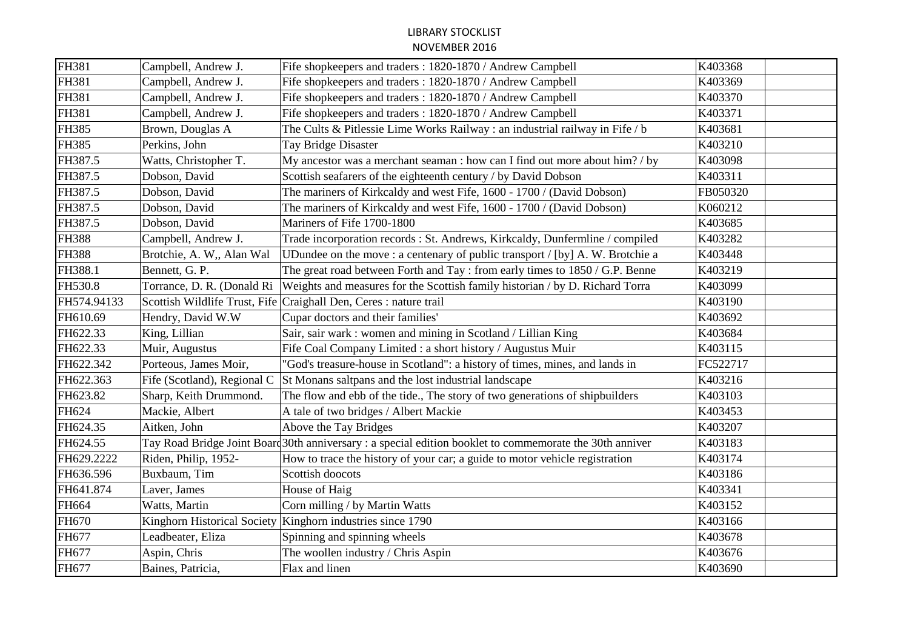| FH381        | Campbell, Andrew J.           | Fife shopkeepers and traders: 1820-1870 / Andrew Campbell                                               | K403368  |
|--------------|-------------------------------|---------------------------------------------------------------------------------------------------------|----------|
| FH381        | Campbell, Andrew J.           | Fife shopkeepers and traders: 1820-1870 / Andrew Campbell                                               | K403369  |
| FH381        | Campbell, Andrew J.           | Fife shopkeepers and traders: 1820-1870 / Andrew Campbell                                               | K403370  |
| FH381        | Campbell, Andrew J.           | Fife shopkeepers and traders: 1820-1870 / Andrew Campbell                                               | K403371  |
| FH385        | Brown, Douglas A              | The Cults & Pitlessie Lime Works Railway: an industrial railway in Fife / b                             | K403681  |
| FH385        | Perkins, John                 | Tay Bridge Disaster                                                                                     | K403210  |
| FH387.5      | Watts, Christopher T.         | My ancestor was a merchant seaman : how can I find out more about him? / by                             | K403098  |
| FH387.5      | Dobson, David                 | Scottish seafarers of the eighteenth century / by David Dobson                                          | K403311  |
| FH387.5      | Dobson, David                 | The mariners of Kirkcaldy and west Fife, 1600 - 1700 / (David Dobson)                                   | FB050320 |
| FH387.5      | Dobson, David                 | The mariners of Kirkcaldy and west Fife, 1600 - 1700 / (David Dobson)                                   | K060212  |
| FH387.5      | Dobson, David                 | Mariners of Fife 1700-1800                                                                              | K403685  |
| <b>FH388</b> | Campbell, Andrew J.           | Trade incorporation records : St. Andrews, Kirkcaldy, Dunfermline / compiled                            | K403282  |
| <b>FH388</b> | Brotchie, A. W., Alan Wal     | UDundee on the move : a centenary of public transport / [by] A. W. Brotchie a                           | K403448  |
| FH388.1      | Bennett, G. P.                | The great road between Forth and Tay: from early times to 1850 / G.P. Benne                             | K403219  |
| FH530.8      | Torrance, D. R. (Donald Ri    | Weights and measures for the Scottish family historian / by D. Richard Torra                            | K403099  |
| FH574.94133  | Scottish Wildlife Trust, Fife | Craighall Den, Ceres : nature trail                                                                     | K403190  |
| FH610.69     | Hendry, David W.W.            | Cupar doctors and their families'                                                                       | K403692  |
| FH622.33     | King, Lillian                 | Sair, sair wark: women and mining in Scotland / Lillian King                                            | K403684  |
| FH622.33     | Muir, Augustus                | Fife Coal Company Limited : a short history / Augustus Muir                                             | K403115  |
| FH622.342    | Porteous, James Moir,         | "God's treasure-house in Scotland": a history of times, mines, and lands in                             | FC522717 |
| FH622.363    | Fife (Scotland), Regional C   | St Monans saltpans and the lost industrial landscape                                                    | K403216  |
| FH623.82     | Sharp, Keith Drummond.        | The flow and ebb of the tide., The story of two generations of shipbuilders                             | K403103  |
| FH624        | Mackie, Albert                | A tale of two bridges / Albert Mackie                                                                   | K403453  |
| FH624.35     | Aitken, John                  | Above the Tay Bridges                                                                                   | K403207  |
| FH624.55     |                               | Tay Road Bridge Joint Board 30th anniversary: a special edition booklet to commemorate the 30th anniver | K403183  |
| FH629.2222   | Riden, Philip, 1952-          | How to trace the history of your car; a guide to motor vehicle registration                             | K403174  |
| FH636.596    | Buxbaum, Tim                  | Scottish doocots                                                                                        | K403186  |
| FH641.874    | Laver, James                  | House of Haig                                                                                           | K403341  |
| FH664        | Watts, Martin                 | Corn milling / by Martin Watts                                                                          | K403152  |
| FH670        |                               | Kinghorn Historical Society   Kinghorn industries since 1790                                            | K403166  |
| FH677        | Leadbeater, Eliza             | Spinning and spinning wheels                                                                            | K403678  |
| FH677        | Aspin, Chris                  | The woollen industry / Chris Aspin                                                                      | K403676  |
| FH677        | Baines, Patricia,             | Flax and linen                                                                                          | K403690  |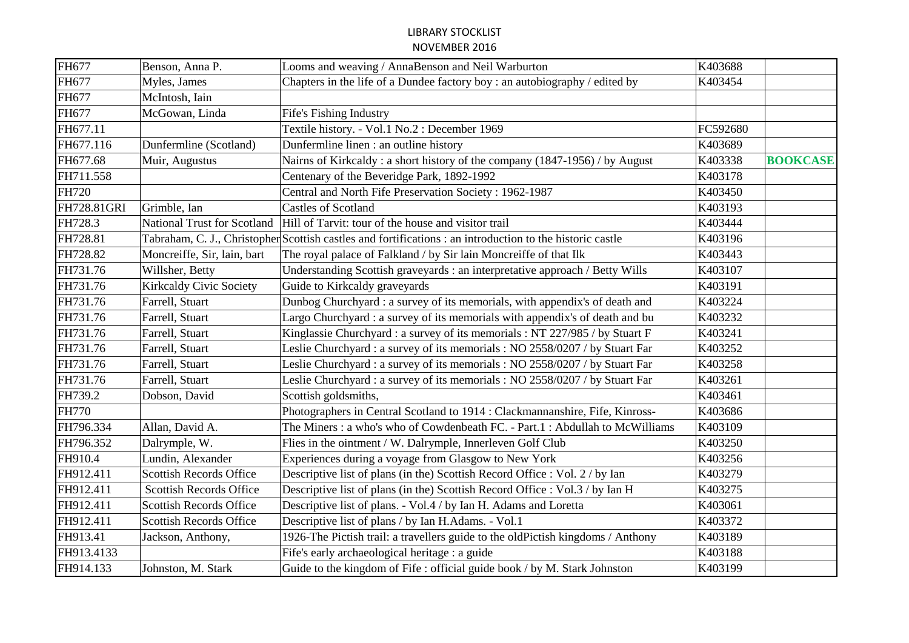| FH677        | Benson, Anna P.                    | Looms and weaving / AnnaBenson and Neil Warburton                                                         | K403688  |                 |
|--------------|------------------------------------|-----------------------------------------------------------------------------------------------------------|----------|-----------------|
| FH677        | Myles, James                       | Chapters in the life of a Dundee factory boy: an autobiography / edited by                                | K403454  |                 |
| FH677        | McIntosh, Iain                     |                                                                                                           |          |                 |
| FH677        | McGowan, Linda                     | Fife's Fishing Industry                                                                                   |          |                 |
| FH677.11     |                                    | Textile history. - Vol.1 No.2 : December 1969                                                             | FC592680 |                 |
| FH677.116    | Dunfermline (Scotland)             | Dunfermline linen : an outline history                                                                    | K403689  |                 |
| FH677.68     | Muir, Augustus                     | Nairns of Kirkcaldy: a short history of the company (1847-1956) / by August                               | K403338  | <b>BOOKCASE</b> |
| FH711.558    |                                    | Centenary of the Beveridge Park, 1892-1992                                                                | K403178  |                 |
| <b>FH720</b> |                                    | Central and North Fife Preservation Society: 1962-1987                                                    | K403450  |                 |
| FH728.81GRI  | Grimble, Ian                       | <b>Castles of Scotland</b>                                                                                | K403193  |                 |
| FH728.3      | <b>National Trust for Scotland</b> | Hill of Tarvit: tour of the house and visitor trail                                                       | K403444  |                 |
| FH728.81     |                                    | Tabraham, C. J., Christopher Scottish castles and fortifications : an introduction to the historic castle | K403196  |                 |
| FH728.82     | Moncreiffe, Sir, lain, bart        | The royal palace of Falkland / by Sir lain Moncreiffe of that Ilk                                         | K403443  |                 |
| FH731.76     | Willsher, Betty                    | Understanding Scottish graveyards : an interpretative approach / Betty Wills                              | K403107  |                 |
| FH731.76     | <b>Kirkcaldy Civic Society</b>     | Guide to Kirkcaldy graveyards                                                                             | K403191  |                 |
| FH731.76     | Farrell, Stuart                    | Dunbog Churchyard : a survey of its memorials, with appendix's of death and                               | K403224  |                 |
| FH731.76     | Farrell, Stuart                    | Largo Churchyard : a survey of its memorials with appendix's of death and bu                              | K403232  |                 |
| FH731.76     | Farrell, Stuart                    | Kinglassie Churchyard : a survey of its memorials : NT 227/985 / by Stuart F                              | K403241  |                 |
| FH731.76     | Farrell, Stuart                    | Leslie Churchyard : a survey of its memorials : NO 2558/0207 / by Stuart Far                              | K403252  |                 |
| FH731.76     | Farrell, Stuart                    | Leslie Churchyard : a survey of its memorials : NO 2558/0207 / by Stuart Far                              | K403258  |                 |
| FH731.76     | Farrell, Stuart                    | Leslie Churchyard : a survey of its memorials : NO 2558/0207 / by Stuart Far                              | K403261  |                 |
| FH739.2      | Dobson, David                      | Scottish goldsmiths,                                                                                      | K403461  |                 |
| <b>FH770</b> |                                    | Photographers in Central Scotland to 1914 : Clackmannanshire, Fife, Kinross-                              | K403686  |                 |
| FH796.334    | Allan, David A.                    | The Miners: a who's who of Cowdenbeath FC. - Part.1: Abdullah to McWilliams                               | K403109  |                 |
| FH796.352    | Dalrymple, W.                      | Flies in the ointment / W. Dalrymple, Innerleven Golf Club                                                | K403250  |                 |
| FH910.4      | Lundin, Alexander                  | Experiences during a voyage from Glasgow to New York                                                      | K403256  |                 |
| FH912.411    | Scottish Records Office            | Descriptive list of plans (in the) Scottish Record Office : Vol. 2 / by Ian                               | K403279  |                 |
| FH912.411    | <b>Scottish Records Office</b>     | Descriptive list of plans (in the) Scottish Record Office : Vol.3 / by Ian H                              | K403275  |                 |
| FH912.411    | <b>Scottish Records Office</b>     | Descriptive list of plans. - Vol.4 / by Ian H. Adams and Loretta                                          | K403061  |                 |
| FH912.411    | Scottish Records Office            | Descriptive list of plans / by Ian H.Adams. - Vol.1                                                       | K403372  |                 |
| FH913.41     | Jackson, Anthony,                  | 1926-The Pictish trail: a travellers guide to the oldPictish kingdoms / Anthony                           | K403189  |                 |
| FH913.4133   |                                    | Fife's early archaeological heritage : a guide                                                            | K403188  |                 |
| FH914.133    | Johnston, M. Stark                 | Guide to the kingdom of Fife : official guide book / by M. Stark Johnston                                 | K403199  |                 |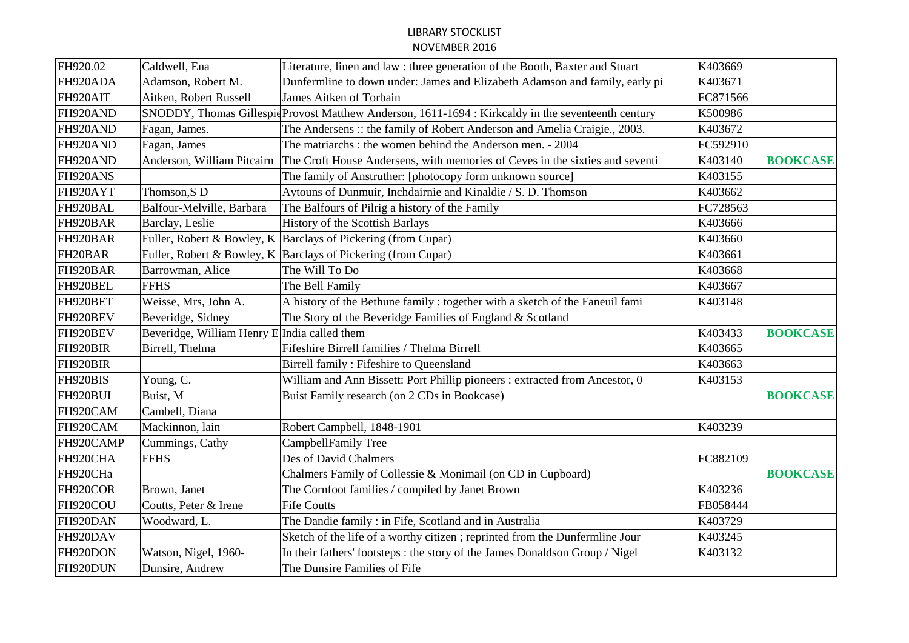| FH920.02  | Caldwell, Ena                                | Literature, linen and law : three generation of the Booth, Baxter and Stuart                        | K403669  |                 |
|-----------|----------------------------------------------|-----------------------------------------------------------------------------------------------------|----------|-----------------|
| FH920ADA  | Adamson, Robert M.                           | Dunfermline to down under: James and Elizabeth Adamson and family, early pi                         | K403671  |                 |
| FH920AIT  | Aitken, Robert Russell                       | James Aitken of Torbain                                                                             | FC871566 |                 |
| FH920AND  |                                              | SNODDY, Thomas Gillespie Provost Matthew Anderson, 1611-1694 : Kirkcaldy in the seventeenth century | K500986  |                 |
| FH920AND  | Fagan, James.                                | The Andersens :: the family of Robert Anderson and Amelia Craigie., 2003.                           | K403672  |                 |
| FH920AND  | Fagan, James                                 | The matriarchs: the women behind the Anderson men. - 2004                                           | FC592910 |                 |
| FH920AND  | Anderson, William Pitcairn                   | The Croft House Andersens, with memories of Ceves in the sixties and seventi                        | K403140  | <b>BOOKCASE</b> |
| FH920ANS  |                                              | The family of Anstruther: [photocopy form unknown source]                                           | K403155  |                 |
| FH920AYT  | Thomson, SD                                  | Aytouns of Dunmuir, Inchdairnie and Kinaldie / S. D. Thomson                                        | K403662  |                 |
| FH920BAL  | Balfour-Melville, Barbara                    | The Balfours of Pilrig a history of the Family                                                      | FC728563 |                 |
| FH920BAR  | Barclay, Leslie                              | History of the Scottish Barlays                                                                     | K403666  |                 |
| FH920BAR  |                                              | Fuller, Robert & Bowley, K Barclays of Pickering (from Cupar)                                       | K403660  |                 |
| FH20BAR   |                                              | Fuller, Robert & Bowley, K Barclays of Pickering (from Cupar)                                       | K403661  |                 |
| FH920BAR  | Barrowman, Alice                             | The Will To Do                                                                                      | K403668  |                 |
| FH920BEL  | <b>FFHS</b>                                  | The Bell Family                                                                                     | K403667  |                 |
| FH920BET  | Weisse, Mrs, John A.                         | A history of the Bethune family: together with a sketch of the Faneuil fami                         | K403148  |                 |
| FH920BEV  | Beveridge, Sidney                            | The Story of the Beveridge Families of England & Scotland                                           |          |                 |
| FH920BEV  | Beveridge, William Henry E India called them |                                                                                                     | K403433  | <b>BOOKCASE</b> |
| FH920BIR  | Birrell, Thelma                              | Fifeshire Birrell families / Thelma Birrell                                                         | K403665  |                 |
| FH920BIR  |                                              | Birrell family: Fifeshire to Queensland                                                             | K403663  |                 |
| FH920BIS  | Young, C.                                    | William and Ann Bissett: Port Phillip pioneers : extracted from Ancestor, 0                         | K403153  |                 |
| FH920BUI  | Buist, M                                     | Buist Family research (on 2 CDs in Bookcase)                                                        |          | <b>BOOKCASE</b> |
| FH920CAM  | Cambell, Diana                               |                                                                                                     |          |                 |
| FH920CAM  | Mackinnon, lain                              | Robert Campbell, 1848-1901                                                                          | K403239  |                 |
| FH920CAMP | Cummings, Cathy                              | CampbellFamily Tree                                                                                 |          |                 |
| FH920CHA  | <b>FFHS</b>                                  | Des of David Chalmers                                                                               | FC882109 |                 |
| FH920CHa  |                                              | Chalmers Family of Collessie & Monimail (on CD in Cupboard)                                         |          | <b>BOOKCASE</b> |
| FH920COR  | Brown, Janet                                 | The Cornfoot families / compiled by Janet Brown                                                     | K403236  |                 |
| FH920COU  | Coutts, Peter & Irene                        | <b>Fife Coutts</b>                                                                                  | FB058444 |                 |
| FH920DAN  | Woodward, L.                                 | The Dandie family : in Fife, Scotland and in Australia                                              | K403729  |                 |
| FH920DAV  |                                              | Sketch of the life of a worthy citizen; reprinted from the Dunfermline Jour                         | K403245  |                 |
| FH920DON  | Watson, Nigel, 1960-                         | In their fathers' footsteps : the story of the James Donaldson Group / Nigel                        | K403132  |                 |
| FH920DUN  | Dunsire, Andrew                              | The Dunsire Families of Fife                                                                        |          |                 |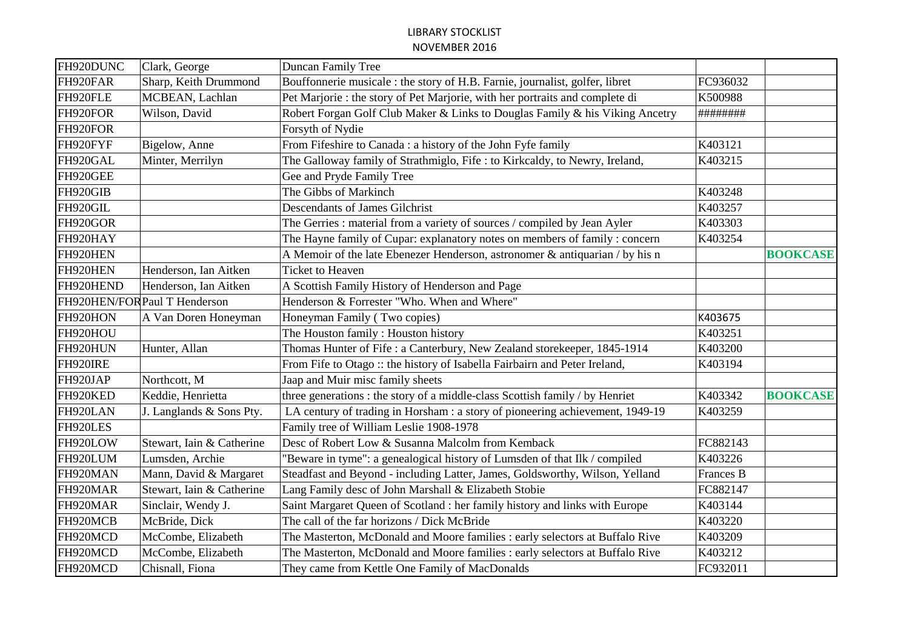| FH920DUNC | Clark, George                 | Duncan Family Tree                                                            |                  |                 |
|-----------|-------------------------------|-------------------------------------------------------------------------------|------------------|-----------------|
| FH920FAR  | Sharp, Keith Drummond         | Bouffonnerie musicale : the story of H.B. Farnie, journalist, golfer, libret  | FC936032         |                 |
| FH920FLE  | MCBEAN, Lachlan               | Pet Marjorie : the story of Pet Marjorie, with her portraits and complete di  | K500988          |                 |
| FH920FOR  | Wilson, David                 | Robert Forgan Golf Club Maker & Links to Douglas Family & his Viking Ancetry  | ########         |                 |
| FH920FOR  |                               | Forsyth of Nydie                                                              |                  |                 |
| FH920FYF  | Bigelow, Anne                 | From Fifeshire to Canada : a history of the John Fyfe family                  | K403121          |                 |
| FH920GAL  | Minter, Merrilyn              | The Galloway family of Strathmiglo, Fife : to Kirkcaldy, to Newry, Ireland,   | K403215          |                 |
| FH920GEE  |                               | Gee and Pryde Family Tree                                                     |                  |                 |
| FH920GIB  |                               | The Gibbs of Markinch                                                         | K403248          |                 |
| FH920GIL  |                               | <b>Descendants of James Gilchrist</b>                                         | K403257          |                 |
| FH920GOR  |                               | The Gerries : material from a variety of sources / compiled by Jean Ayler     | K403303          |                 |
| FH920HAY  |                               | The Hayne family of Cupar: explanatory notes on members of family: concern    | K403254          |                 |
| FH920HEN  |                               | A Memoir of the late Ebenezer Henderson, astronomer & antiquarian / by his n  |                  | <b>BOOKCASE</b> |
| FH920HEN  | Henderson, Ian Aitken         | <b>Ticket to Heaven</b>                                                       |                  |                 |
| FH920HEND | Henderson, Ian Aitken         | A Scottish Family History of Henderson and Page                               |                  |                 |
|           | FH920HEN/FOR Paul T Henderson | Henderson & Forrester "Who. When and Where"                                   |                  |                 |
| FH920HON  | A Van Doren Honeyman          | Honeyman Family (Two copies)                                                  | K403675          |                 |
| FH920HOU  |                               | The Houston family: Houston history                                           | K403251          |                 |
| FH920HUN  | Hunter, Allan                 | Thomas Hunter of Fife: a Canterbury, New Zealand storekeeper, 1845-1914       | K403200          |                 |
| FH920IRE  |                               | From Fife to Otago :: the history of Isabella Fairbairn and Peter Ireland,    | K403194          |                 |
| FH920JAP  | Northcott, M                  | Jaap and Muir misc family sheets                                              |                  |                 |
| FH920KED  | Keddie, Henrietta             | three generations : the story of a middle-class Scottish family / by Henriet  | K403342          | <b>BOOKCASE</b> |
| FH920LAN  | J. Langlands & Sons Pty.      | LA century of trading in Horsham : a story of pioneering achievement, 1949-19 | K403259          |                 |
| FH920LES  |                               | Family tree of William Leslie 1908-1978                                       |                  |                 |
| FH920LOW  | Stewart, Iain & Catherine     | Desc of Robert Low & Susanna Malcolm from Kemback                             | FC882143         |                 |
| FH920LUM  | Lumsden, Archie               | "Beware in tyme": a genealogical history of Lumsden of that Ilk / compiled    | K403226          |                 |
| FH920MAN  | Mann, David & Margaret        | Steadfast and Beyond - including Latter, James, Goldsworthy, Wilson, Yelland  | <b>Frances B</b> |                 |
| FH920MAR  | Stewart, Iain & Catherine     | Lang Family desc of John Marshall & Elizabeth Stobie                          | FC882147         |                 |
| FH920MAR  | Sinclair, Wendy J.            | Saint Margaret Queen of Scotland : her family history and links with Europe   | K403144          |                 |
| FH920MCB  | McBride, Dick                 | The call of the far horizons / Dick McBride                                   | K403220          |                 |
| FH920MCD  | McCombe, Elizabeth            | The Masterton, McDonald and Moore families : early selectors at Buffalo Rive  | K403209          |                 |
| FH920MCD  | McCombe, Elizabeth            | The Masterton, McDonald and Moore families : early selectors at Buffalo Rive  | K403212          |                 |
| FH920MCD  | Chisnall, Fiona               | They came from Kettle One Family of MacDonalds                                | FC932011         |                 |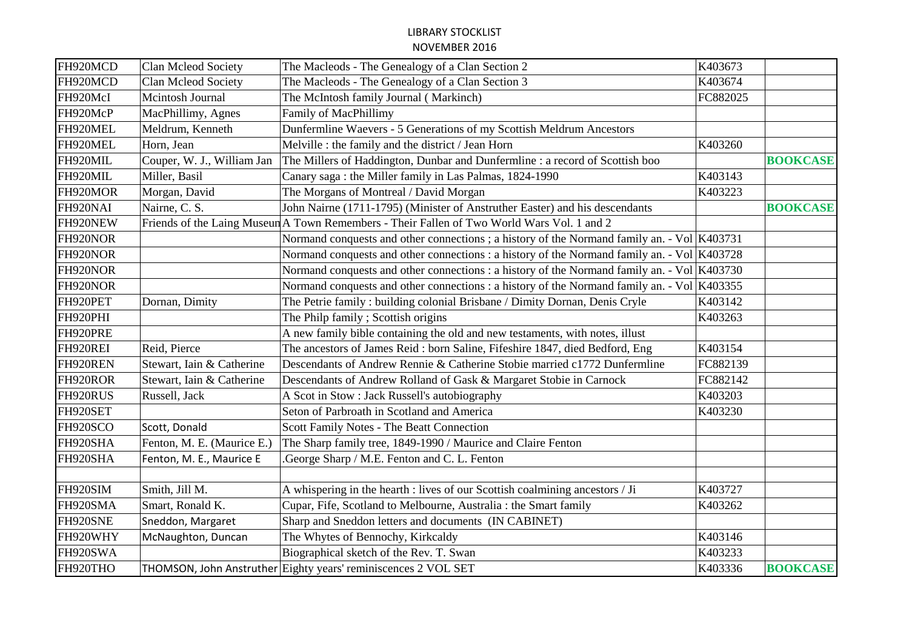| FH920MCD | Clan Mcleod Society        | The Macleods - The Genealogy of a Clan Section 2                                               | K403673  |                 |
|----------|----------------------------|------------------------------------------------------------------------------------------------|----------|-----------------|
| FH920MCD | Clan Mcleod Society        | The Macleods - The Genealogy of a Clan Section 3                                               | K403674  |                 |
| FH920McI | Mcintosh Journal           | The McIntosh family Journal (Markinch)                                                         | FC882025 |                 |
| FH920McP | MacPhillimy, Agnes         | Family of MacPhillimy                                                                          |          |                 |
| FH920MEL | Meldrum, Kenneth           | Dunfermline Waevers - 5 Generations of my Scottish Meldrum Ancestors                           |          |                 |
| FH920MEL | Horn, Jean                 | Melville : the family and the district / Jean Horn                                             | K403260  |                 |
| FH920MIL | Couper, W. J., William Jan | The Millers of Haddington, Dunbar and Dunfermline : a record of Scottish boo                   |          | <b>BOOKCASE</b> |
| FH920MIL | Miller, Basil              | Canary saga: the Miller family in Las Palmas, 1824-1990                                        | K403143  |                 |
| FH920MOR | Morgan, David              | The Morgans of Montreal / David Morgan                                                         | K403223  |                 |
| FH920NAI | Nairne, C. S.              | John Nairne (1711-1795) (Minister of Anstruther Easter) and his descendants                    |          | <b>BOOKCASE</b> |
| FH920NEW |                            | Friends of the Laing Museur A Town Remembers - Their Fallen of Two World Wars Vol. 1 and 2     |          |                 |
| FH920NOR |                            | Normand conquests and other connections; a history of the Normand family an. - Vol   K403731   |          |                 |
| FH920NOR |                            | Normand conquests and other connections : a history of the Normand family an. - Vol $ K403728$ |          |                 |
| FH920NOR |                            | Normand conquests and other connections : a history of the Normand family an. - Vol $ K403730$ |          |                 |
| FH920NOR |                            | Normand conquests and other connections : a history of the Normand family an. - Vol $ K403355$ |          |                 |
| FH920PET | Dornan, Dimity             | The Petrie family: building colonial Brisbane / Dimity Dornan, Denis Cryle                     | K403142  |                 |
| FH920PHI |                            | The Philp family; Scottish origins                                                             | K403263  |                 |
| FH920PRE |                            | A new family bible containing the old and new testaments, with notes, illust                   |          |                 |
| FH920REI | Reid, Pierce               | The ancestors of James Reid: born Saline, Fifeshire 1847, died Bedford, Eng                    | K403154  |                 |
| FH920REN | Stewart, Iain & Catherine  | Descendants of Andrew Rennie & Catherine Stobie married c1772 Dunfermline                      | FC882139 |                 |
| FH920ROR | Stewart, Iain & Catherine  | Descendants of Andrew Rolland of Gask & Margaret Stobie in Carnock                             | FC882142 |                 |
| FH920RUS | Russell, Jack              | A Scot in Stow: Jack Russell's autobiography                                                   | K403203  |                 |
| FH920SET |                            | Seton of Parbroath in Scotland and America                                                     | K403230  |                 |
| FH920SCO | Scott, Donald              | Scott Family Notes - The Beatt Connection                                                      |          |                 |
| FH920SHA | Fenton, M. E. (Maurice E.) | The Sharp family tree, 1849-1990 / Maurice and Claire Fenton                                   |          |                 |
| FH920SHA | Fenton, M. E., Maurice E   | .George Sharp / M.E. Fenton and C. L. Fenton                                                   |          |                 |
|          |                            |                                                                                                |          |                 |
| FH920SIM | Smith, Jill M.             | A whispering in the hearth : lives of our Scottish coalmining ancestors / Ji                   | K403727  |                 |
| FH920SMA | Smart, Ronald K.           | Cupar, Fife, Scotland to Melbourne, Australia : the Smart family                               | K403262  |                 |
| FH920SNE | Sneddon, Margaret          | Sharp and Sneddon letters and documents (IN CABINET)                                           |          |                 |
| FH920WHY | McNaughton, Duncan         | The Whytes of Bennochy, Kirkcaldy                                                              | K403146  |                 |
| FH920SWA |                            | Biographical sketch of the Rev. T. Swan                                                        | K403233  |                 |
| FH920THO |                            | THOMSON, John Anstruther Eighty years' reminiscences 2 VOL SET                                 | K403336  | <b>BOOKCASE</b> |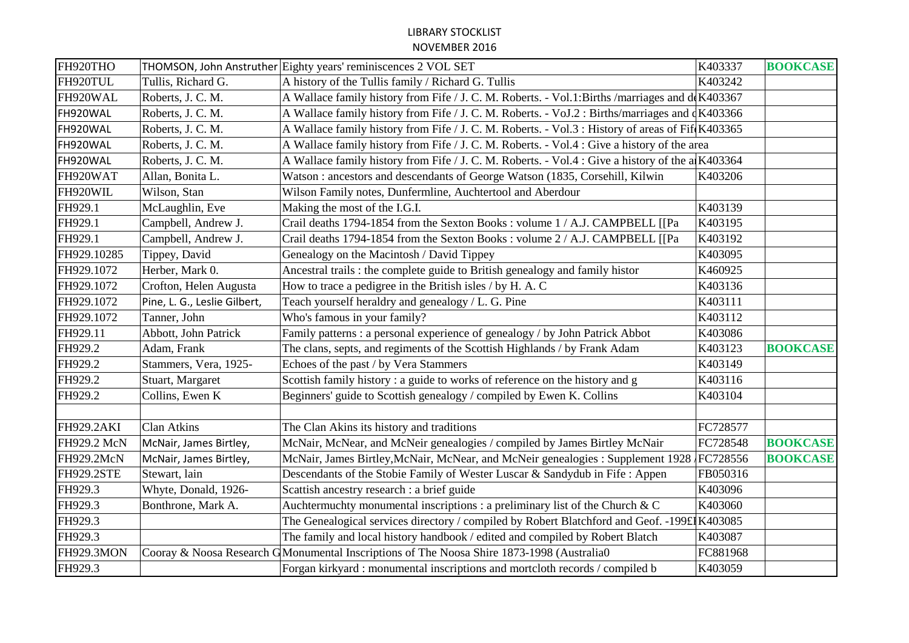| FH920THO          |                              | THOMSON, John Anstruther Eighty years' reminiscences 2 VOL SET                                   | K403337  | <b>BOOKCASE</b> |
|-------------------|------------------------------|--------------------------------------------------------------------------------------------------|----------|-----------------|
| FH920TUL          | Tullis, Richard G.           | A history of the Tullis family / Richard G. Tullis                                               | K403242  |                 |
| FH920WAL          | Roberts, J. C. M.            | A Wallace family history from Fife / J. C. M. Roberts. - Vol.1: Births /marriages and de K403367 |          |                 |
| FH920WAL          | Roberts, J. C. M.            | A Wallace family history from Fife / J. C. M. Roberts. - VoJ.2: Births/marriages and dK403366    |          |                 |
| FH920WAL          | Roberts, J. C. M.            | A Wallace family history from Fife / J. C. M. Roberts. - Vol.3: History of areas of Fif(K403365  |          |                 |
| FH920WAL          | Roberts, J. C. M.            | A Wallace family history from Fife / J. C. M. Roberts. - Vol.4 : Give a history of the area      |          |                 |
| FH920WAL          | Roberts, J. C. M.            | A Wallace family history from Fife / J. C. M. Roberts. - Vol.4 : Give a history of the a K403364 |          |                 |
| FH920WAT          | Allan, Bonita L.             | Watson: ancestors and descendants of George Watson (1835, Corsehill, Kilwin                      | K403206  |                 |
| FH920WIL          | Wilson, Stan                 | Wilson Family notes, Dunfermline, Auchtertool and Aberdour                                       |          |                 |
| FH929.1           | McLaughlin, Eve              | Making the most of the I.G.I.                                                                    | K403139  |                 |
| FH929.1           | Campbell, Andrew J.          | Crail deaths 1794-1854 from the Sexton Books : volume 1 / A.J. CAMPBELL [[Pa                     | K403195  |                 |
| FH929.1           | Campbell, Andrew J.          | Crail deaths 1794-1854 from the Sexton Books : volume 2 / A.J. CAMPBELL [[Pa                     | K403192  |                 |
| FH929.10285       | Tippey, David                | Genealogy on the Macintosh / David Tippey                                                        | K403095  |                 |
| FH929.1072        | Herber, Mark 0.              | Ancestral trails: the complete guide to British genealogy and family histor                      | K460925  |                 |
| FH929.1072        | Crofton, Helen Augusta       | How to trace a pedigree in the British isles / by H. A. C                                        | K403136  |                 |
| FH929.1072        | Pine, L. G., Leslie Gilbert, | Teach yourself heraldry and genealogy / L. G. Pine                                               | K403111  |                 |
| FH929.1072        | Tanner, John                 | Who's famous in your family?                                                                     | K403112  |                 |
| FH929.11          | Abbott, John Patrick         | Family patterns : a personal experience of genealogy / by John Patrick Abbot                     | K403086  |                 |
| FH929.2           | Adam, Frank                  | The clans, septs, and regiments of the Scottish Highlands / by Frank Adam                        | K403123  | <b>BOOKCASE</b> |
| FH929.2           | Stammers, Vera, 1925-        | Echoes of the past / by Vera Stammers                                                            | K403149  |                 |
| FH929.2           | Stuart, Margaret             | Scottish family history: a guide to works of reference on the history and g                      | K403116  |                 |
| FH929.2           | Collins, Ewen K              | Beginners' guide to Scottish genealogy / compiled by Ewen K. Collins                             | K403104  |                 |
|                   |                              |                                                                                                  |          |                 |
| <b>FH929.2AKI</b> | <b>Clan Atkins</b>           | The Clan Akins its history and traditions                                                        | FC728577 |                 |
| FH929.2 McN       | McNair, James Birtley,       | McNair, McNear, and McNeir genealogies / compiled by James Birtley McNair                        | FC728548 | <b>BOOKCASE</b> |
| FH929.2McN        | McNair, James Birtley,       | McNair, James Birtley, McNair, McNear, and McNeir genealogies: Supplement 1928 FC728556          |          | <b>BOOKCASE</b> |
| <b>FH929.2STE</b> | Stewart, lain                | Descendants of the Stobie Family of Wester Luscar & Sandydub in Fife : Appen                     | FB050316 |                 |
| FH929.3           | Whyte, Donald, 1926-         | Scattish ancestry research : a brief guide                                                       | K403096  |                 |
| FH929.3           | Bonthrone, Mark A.           | Auchtermuchty monumental inscriptions : a preliminary list of the Church & C                     | K403060  |                 |
| FH929.3           |                              | The Genealogical services directory / compiled by Robert Blatchford and Geof. -199£ K403085      |          |                 |
| FH929.3           |                              | The family and local history handbook / edited and compiled by Robert Blatch                     | K403087  |                 |
| <b>FH929.3MON</b> |                              | Cooray & Noosa Research GMonumental Inscriptions of The Noosa Shire 1873-1998 (Australia0        | FC881968 |                 |
| FH929.3           |                              | Forgan kirkyard: monumental inscriptions and mortcloth records / compiled b                      | K403059  |                 |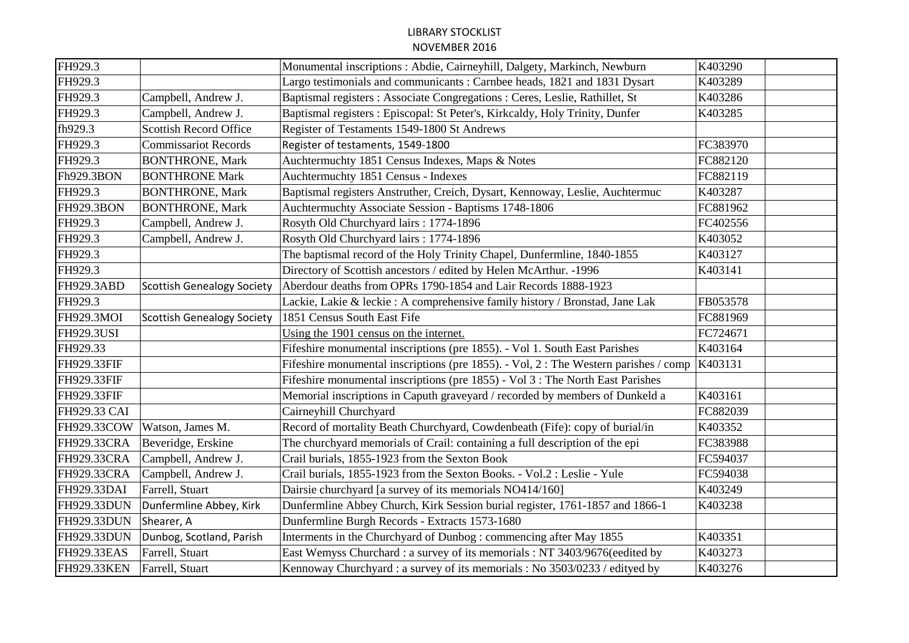| FH929.3           |                                   | Monumental inscriptions : Abdie, Cairneyhill, Dalgety, Markinch, Newburn             | K403290  |
|-------------------|-----------------------------------|--------------------------------------------------------------------------------------|----------|
| FH929.3           |                                   | Largo testimonials and communicants: Carnbee heads, 1821 and 1831 Dysart             | K403289  |
| FH929.3           | Campbell, Andrew J.               | Baptismal registers : Associate Congregations : Ceres, Leslie, Rathillet, St         | K403286  |
| FH929.3           | Campbell, Andrew J.               | Baptismal registers : Episcopal: St Peter's, Kirkcaldy, Holy Trinity, Dunfer         | K403285  |
| fh929.3           | <b>Scottish Record Office</b>     | Register of Testaments 1549-1800 St Andrews                                          |          |
| FH929.3           | <b>Commissariot Records</b>       | Register of testaments, 1549-1800                                                    | FC383970 |
| FH929.3           | <b>BONTHRONE, Mark</b>            | Auchtermuchty 1851 Census Indexes, Maps & Notes                                      | FC882120 |
| Fh929.3BON        | <b>BONTHRONE Mark</b>             | Auchtermuchty 1851 Census - Indexes                                                  | FC882119 |
| FH929.3           | <b>BONTHRONE, Mark</b>            | Baptismal registers Anstruther, Creich, Dysart, Kennoway, Leslie, Auchtermuc         | K403287  |
| <b>FH929.3BON</b> | <b>BONTHRONE, Mark</b>            | Auchtermuchty Associate Session - Baptisms 1748-1806                                 | FC881962 |
| FH929.3           | Campbell, Andrew J.               | Rosyth Old Churchyard lairs: 1774-1896                                               | FC402556 |
| FH929.3           | Campbell, Andrew J.               | Rosyth Old Churchyard lairs: 1774-1896                                               | K403052  |
| FH929.3           |                                   | The baptismal record of the Holy Trinity Chapel, Dunfermline, 1840-1855              | K403127  |
| FH929.3           |                                   | Directory of Scottish ancestors / edited by Helen McArthur. -1996                    | K403141  |
| <b>FH929.3ABD</b> | <b>Scottish Genealogy Society</b> | Aberdour deaths from OPRs 1790-1854 and Lair Records 1888-1923                       |          |
| FH929.3           |                                   | Lackie, Lakie & leckie : A comprehensive family history / Bronstad, Jane Lak         | FB053578 |
| FH929.3MOI        | <b>Scottish Genealogy Society</b> | 1851 Census South East Fife                                                          | FC881969 |
| <b>FH929.3USI</b> |                                   | Using the 1901 census on the internet.                                               | FC724671 |
| FH929.33          |                                   | Fifeshire monumental inscriptions (pre 1855). - Vol 1. South East Parishes           | K403164  |
| FH929.33FIF       |                                   | Fifeshire monumental inscriptions (pre 1855). - Vol, 2 : The Western parishes / comp | K403131  |
| FH929.33FIF       |                                   | Fifeshire monumental inscriptions (pre 1855) - Vol 3 : The North East Parishes       |          |
| FH929.33FIF       |                                   | Memorial inscriptions in Caputh graveyard / recorded by members of Dunkeld a         | K403161  |
| FH929.33 CAI      |                                   | Cairneyhill Churchyard                                                               | FC882039 |
| FH929.33COW       | Watson, James M.                  | Record of mortality Beath Churchyard, Cowdenbeath (Fife): copy of burial/in          | K403352  |
| FH929.33CRA       | Beveridge, Erskine                | The churchyard memorials of Crail: containing a full description of the epi          | FC383988 |
| FH929.33CRA       | Campbell, Andrew J.               | Crail burials, 1855-1923 from the Sexton Book                                        | FC594037 |
| FH929.33CRA       | Campbell, Andrew J.               | Crail burials, 1855-1923 from the Sexton Books. - Vol.2 : Leslie - Yule              | FC594038 |
| FH929.33DAI       | Farrell, Stuart                   | Dairsie churchyard [a survey of its memorials NO414/160]                             | K403249  |
| FH929.33DUN       | Dunfermline Abbey, Kirk           | Dunfermline Abbey Church, Kirk Session burial register, 1761-1857 and 1866-1         | K403238  |
| FH929.33DUN       | Shearer, A                        | Dunfermline Burgh Records - Extracts 1573-1680                                       |          |
| FH929.33DUN       | Dunbog, Scotland, Parish          | Interments in the Churchyard of Dunbog: commencing after May 1855                    | K403351  |
| FH929.33EAS       | Farrell, Stuart                   | East Wemyss Churchard : a survey of its memorials : NT 3403/9676(eedited by          | K403273  |
| FH929.33KEN       | Farrell, Stuart                   | Kennoway Churchyard: a survey of its memorials: No 3503/0233 / edityed by            | K403276  |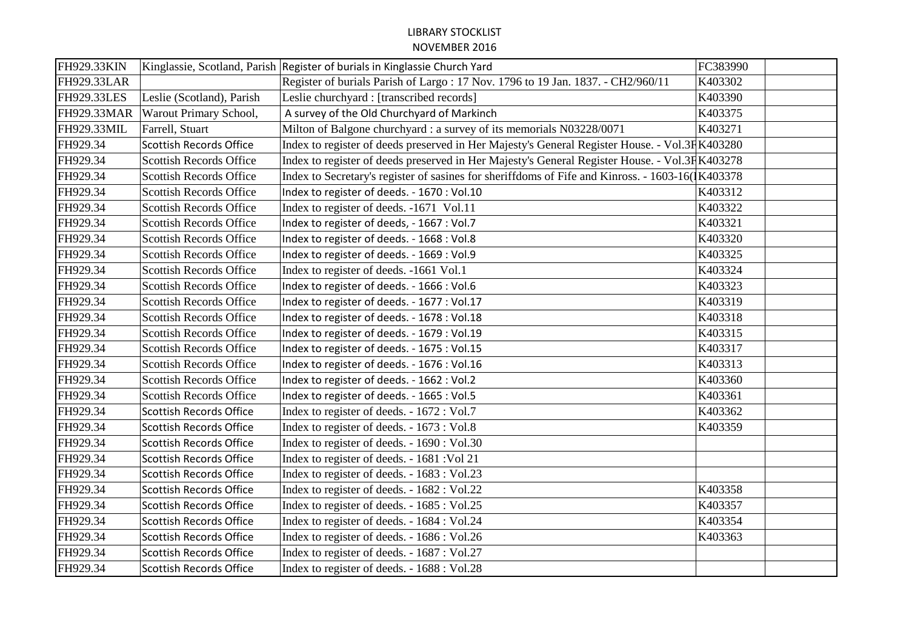| FH929.33KIN        |                                | Kinglassie, Scotland, Parish Register of burials in Kinglassie Church Yard                       | FC383990 |
|--------------------|--------------------------------|--------------------------------------------------------------------------------------------------|----------|
| <b>FH929.33LAR</b> |                                | Register of burials Parish of Largo: 17 Nov. 1796 to 19 Jan. 1837. - CH2/960/11                  | K403302  |
| <b>FH929.33LES</b> | Leslie (Scotland), Parish      | Leslie churchyard : [transcribed records]                                                        | K403390  |
| FH929.33MAR        | Warout Primary School,         | A survey of the Old Churchyard of Markinch                                                       | K403375  |
| FH929.33MIL        | Farrell, Stuart                | Milton of Balgone churchyard : a survey of its memorials N03228/0071                             | K403271  |
| FH929.34           | <b>Scottish Records Office</b> | Index to register of deeds preserved in Her Majesty's General Register House. - Vol.3F K403280   |          |
| FH929.34           | Scottish Records Office        | Index to register of deeds preserved in Her Majesty's General Register House. - Vol.3F K403278   |          |
| FH929.34           | <b>Scottish Records Office</b> | Index to Secretary's register of sasines for sheriffdoms of Fife and Kinross. - 1603-16(K403378) |          |
| FH929.34           | <b>Scottish Records Office</b> | Index to register of deeds. - 1670 : Vol.10                                                      | K403312  |
| FH929.34           | <b>Scottish Records Office</b> | Index to register of deeds. -1671 Vol.11                                                         | K403322  |
| FH929.34           | <b>Scottish Records Office</b> | Index to register of deeds, - 1667 : Vol.7                                                       | K403321  |
| FH929.34           | Scottish Records Office        | Index to register of deeds. - 1668 : Vol.8                                                       | K403320  |
| FH929.34           | <b>Scottish Records Office</b> | Index to register of deeds. - 1669 : Vol.9                                                       | K403325  |
| FH929.34           | <b>Scottish Records Office</b> | Index to register of deeds. -1661 Vol.1                                                          | K403324  |
| FH929.34           | <b>Scottish Records Office</b> | Index to register of deeds. - 1666 : Vol.6                                                       | K403323  |
| FH929.34           | <b>Scottish Records Office</b> | Index to register of deeds. - 1677 : Vol.17                                                      | K403319  |
| FH929.34           | Scottish Records Office        | Index to register of deeds. - 1678 : Vol.18                                                      | K403318  |
| FH929.34           | <b>Scottish Records Office</b> | Index to register of deeds. - 1679 : Vol.19                                                      | K403315  |
| FH929.34           | <b>Scottish Records Office</b> | Index to register of deeds. - 1675 : Vol.15                                                      | K403317  |
| FH929.34           | Scottish Records Office        | Index to register of deeds. - 1676 : Vol.16                                                      | K403313  |
| FH929.34           | <b>Scottish Records Office</b> | Index to register of deeds. - 1662 : Vol.2                                                       | K403360  |
| FH929.34           | <b>Scottish Records Office</b> | Index to register of deeds. - 1665 : Vol.5                                                       | K403361  |
| FH929.34           | <b>Scottish Records Office</b> | Index to register of deeds. - 1672 : Vol.7                                                       | K403362  |
| FH929.34           | <b>Scottish Records Office</b> | Index to register of deeds. - 1673 : Vol.8                                                       | K403359  |
| FH929.34           | <b>Scottish Records Office</b> | Index to register of deeds. - 1690 : Vol.30                                                      |          |
| FH929.34           | <b>Scottish Records Office</b> | Index to register of deeds. - 1681 : Vol 21                                                      |          |
| FH929.34           | <b>Scottish Records Office</b> | Index to register of deeds. - 1683 : Vol.23                                                      |          |
| FH929.34           | <b>Scottish Records Office</b> | Index to register of deeds. - 1682 : Vol.22                                                      | K403358  |
| FH929.34           | <b>Scottish Records Office</b> | Index to register of deeds. - 1685 : Vol.25                                                      | K403357  |
| FH929.34           | <b>Scottish Records Office</b> | Index to register of deeds. - 1684 : Vol.24                                                      | K403354  |
| FH929.34           | <b>Scottish Records Office</b> | Index to register of deeds. - 1686 : Vol.26                                                      | K403363  |
| FH929.34           | <b>Scottish Records Office</b> | Index to register of deeds. - 1687 : Vol.27                                                      |          |
| FH929.34           | Scottish Records Office        | Index to register of deeds. - 1688 : Vol.28                                                      |          |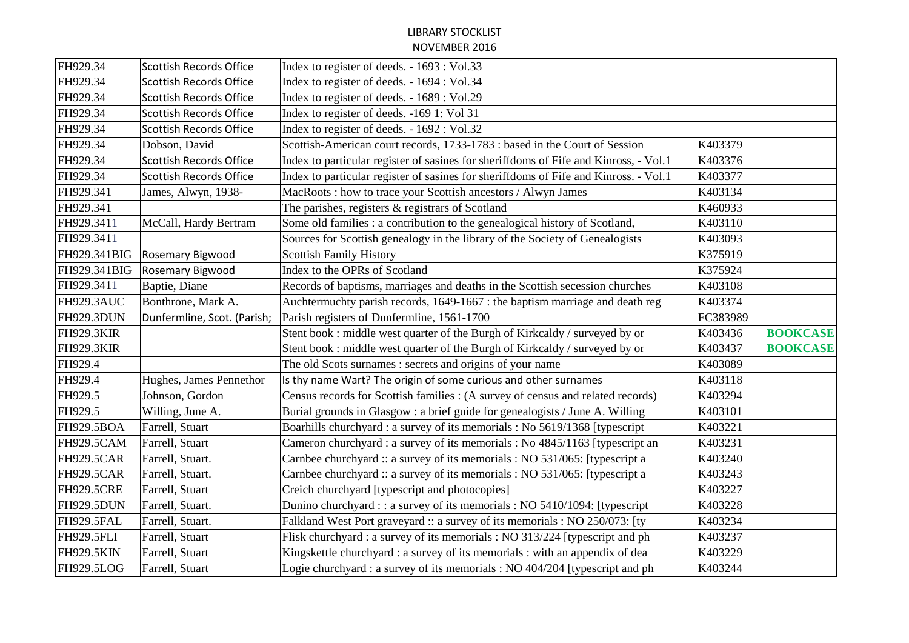| FH929.34          | <b>Scottish Records Office</b> | Index to register of deeds. - 1693 : Vol.33                                          |          |                 |
|-------------------|--------------------------------|--------------------------------------------------------------------------------------|----------|-----------------|
| FH929.34          | <b>Scottish Records Office</b> | Index to register of deeds. - 1694 : Vol.34                                          |          |                 |
| FH929.34          | <b>Scottish Records Office</b> | Index to register of deeds. - 1689 : Vol.29                                          |          |                 |
| FH929.34          | <b>Scottish Records Office</b> | Index to register of deeds. -169 1: Vol 31                                           |          |                 |
| FH929.34          | <b>Scottish Records Office</b> | Index to register of deeds. - 1692 : Vol.32                                          |          |                 |
| FH929.34          | Dobson, David                  | Scottish-American court records, 1733-1783 : based in the Court of Session           | K403379  |                 |
| FH929.34          | <b>Scottish Records Office</b> | Index to particular register of sasines for sheriffdoms of Fife and Kinross, - Vol.1 | K403376  |                 |
| FH929.34          | <b>Scottish Records Office</b> | Index to particular register of sasines for sheriffdoms of Fife and Kinross. - Vol.1 | K403377  |                 |
| FH929.341         | James, Alwyn, 1938-            | MacRoots: how to trace your Scottish ancestors / Alwyn James                         | K403134  |                 |
| FH929.341         |                                | The parishes, registers & registrars of Scotland                                     | K460933  |                 |
| FH929.3411        | McCall, Hardy Bertram          | Some old families : a contribution to the genealogical history of Scotland,          | K403110  |                 |
| FH929.3411        |                                | Sources for Scottish genealogy in the library of the Society of Genealogists         | K403093  |                 |
| FH929.341BIG      | Rosemary Bigwood               | <b>Scottish Family History</b>                                                       | K375919  |                 |
| FH929.341BIG      | Rosemary Bigwood               | Index to the OPRs of Scotland                                                        | K375924  |                 |
| FH929.3411        | Baptie, Diane                  | Records of baptisms, marriages and deaths in the Scottish secession churches         | K403108  |                 |
| FH929.3AUC        | Bonthrone, Mark A.             | Auchtermuchty parish records, 1649-1667 : the baptism marriage and death reg         | K403374  |                 |
| FH929.3DUN        | Dunfermline, Scot. (Parish;    | Parish registers of Dunfermline, 1561-1700                                           | FC383989 |                 |
| <b>FH929.3KIR</b> |                                | Stent book : middle west quarter of the Burgh of Kirkcaldy / surveyed by or          | K403436  | <b>BOOKCASE</b> |
| <b>FH929.3KIR</b> |                                | Stent book : middle west quarter of the Burgh of Kirkcaldy / surveyed by or          | K403437  | <b>BOOKCASE</b> |
| FH929.4           |                                | The old Scots surnames : secrets and origins of your name                            | K403089  |                 |
| FH929.4           | Hughes, James Pennethor        | Is thy name Wart? The origin of some curious and other surnames                      | K403118  |                 |
| FH929.5           | Johnson, Gordon                | Census records for Scottish families : (A survey of census and related records)      | K403294  |                 |
| FH929.5           | Willing, June A.               | Burial grounds in Glasgow : a brief guide for genealogists / June A. Willing         | K403101  |                 |
| FH929.5BOA        | Farrell, Stuart                | Boarhills churchyard : a survey of its memorials : No 5619/1368 [typescript]         | K403221  |                 |
| <b>FH929.5CAM</b> | Farrell, Stuart                | Cameron churchyard : a survey of its memorials : No 4845/1163 [typescript an         | K403231  |                 |
| <b>FH929.5CAR</b> | Farrell, Stuart.               | Carnbee churchyard :: a survey of its memorials : NO 531/065: [typescript a          | K403240  |                 |
| <b>FH929.5CAR</b> | Farrell, Stuart.               | Carnbee churchyard :: a survey of its memorials : NO 531/065: [typescript a          | K403243  |                 |
| <b>FH929.5CRE</b> | Farrell, Stuart                | Creich churchyard [typescript and photocopies]                                       | K403227  |                 |
| FH929.5DUN        | Farrell, Stuart.               | Dunino churchyard :: a survey of its memorials : NO 5410/1094: [typescript]          | K403228  |                 |
| FH929.5FAL        | Farrell, Stuart.               | Falkland West Port graveyard :: a survey of its memorials : NO 250/073: [ty          | K403234  |                 |
| <b>FH929.5FLI</b> | Farrell, Stuart                | Flisk churchyard : a survey of its memorials : NO 313/224 [typescript and ph         | K403237  |                 |
| <b>FH929.5KIN</b> | Farrell, Stuart                | Kingskettle churchyard : a survey of its memorials : with an appendix of dea         | K403229  |                 |
| FH929.5LOG        | Farrell, Stuart                | Logie churchyard : a survey of its memorials : NO 404/204 [typescript and ph         | K403244  |                 |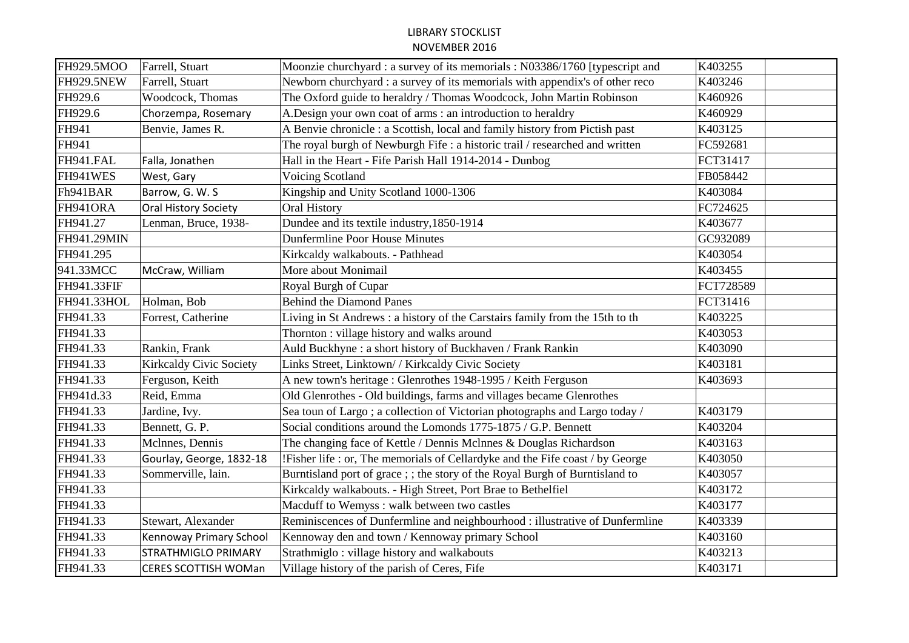| FH929.5MOO  | Farrell, Stuart             | Moonzie churchyard : a survey of its memorials : N03386/1760 [typescript and  | K403255   |
|-------------|-----------------------------|-------------------------------------------------------------------------------|-----------|
| FH929.5NEW  | Farrell, Stuart             | Newborn churchyard : a survey of its memorials with appendix's of other reco  | K403246   |
| FH929.6     | Woodcock, Thomas            | The Oxford guide to heraldry / Thomas Woodcock, John Martin Robinson          | K460926   |
| FH929.6     | Chorzempa, Rosemary         | A.Design your own coat of arms : an introduction to heraldry                  | K460929   |
| FH941       | Benvie, James R.            | A Benvie chronicle : a Scottish, local and family history from Pictish past   | K403125   |
| FH941       |                             | The royal burgh of Newburgh Fife : a historic trail / researched and written  | FC592681  |
| FH941.FAL   | Falla, Jonathen             | Hall in the Heart - Fife Parish Hall 1914-2014 - Dunbog                       | FCT31417  |
| FH941WES    | West, Gary                  | Voicing Scotland                                                              | FB058442  |
| Fh941BAR    | Barrow, G. W. S             | Kingship and Unity Scotland 1000-1306                                         | K403084   |
| FH941ORA    | <b>Oral History Society</b> | Oral History                                                                  | FC724625  |
| FH941.27    | Lenman, Bruce, 1938-        | Dundee and its textile industry, 1850-1914                                    | K403677   |
| FH941.29MIN |                             | <b>Dunfermline Poor House Minutes</b>                                         | GC932089  |
| FH941.295   |                             | Kirkcaldy walkabouts. - Pathhead                                              | K403054   |
| 941.33MCC   | McCraw, William             | More about Monimail                                                           | K403455   |
| FH941.33FIF |                             | Royal Burgh of Cupar                                                          | FCT728589 |
| FH941.33HOL | Holman, Bob                 | <b>Behind the Diamond Panes</b>                                               | FCT31416  |
| FH941.33    | Forrest, Catherine          | Living in St Andrews: a history of the Carstairs family from the 15th to th   | K403225   |
| FH941.33    |                             | Thornton: village history and walks around                                    | K403053   |
| FH941.33    | Rankin, Frank               | Auld Buckhyne : a short history of Buckhaven / Frank Rankin                   | K403090   |
| FH941.33    | Kirkcaldy Civic Society     | Links Street, Linktown/ / Kirkcaldy Civic Society                             | K403181   |
| FH941.33    | Ferguson, Keith             | A new town's heritage : Glenrothes 1948-1995 / Keith Ferguson                 | K403693   |
| FH941d.33   | Reid, Emma                  | Old Glenrothes - Old buildings, farms and villages became Glenrothes          |           |
| FH941.33    | Jardine, Ivy.               | Sea toun of Largo; a collection of Victorian photographs and Largo today /    | K403179   |
| FH941.33    | Bennett, G. P.              | Social conditions around the Lomonds 1775-1875 / G.P. Bennett                 | K403204   |
| FH941.33    | McInnes, Dennis             | The changing face of Kettle / Dennis McInnes & Douglas Richardson             | K403163   |
| FH941.33    | Gourlay, George, 1832-18    | !Fisher life : or, The memorials of Cellardyke and the Fife coast / by George | K403050   |
| FH941.33    | Sommerville, lain.          | Burntisland port of grace ; ; the story of the Royal Burgh of Burntisland to  | K403057   |
| FH941.33    |                             | Kirkcaldy walkabouts. - High Street, Port Brae to Bethelfiel                  | K403172   |
| FH941.33    |                             | Macduff to Wemyss: walk between two castles                                   | K403177   |
| FH941.33    | Stewart, Alexander          | Reminiscences of Dunfermline and neighbourhood : illustrative of Dunfermline  | K403339   |
| FH941.33    | Kennoway Primary School     | Kennoway den and town / Kennoway primary School                               | K403160   |
| FH941.33    | STRATHMIGLO PRIMARY         | Strathmiglo: village history and walkabouts                                   | K403213   |
| FH941.33    | CERES SCOTTISH WOMan        | Village history of the parish of Ceres, Fife                                  | K403171   |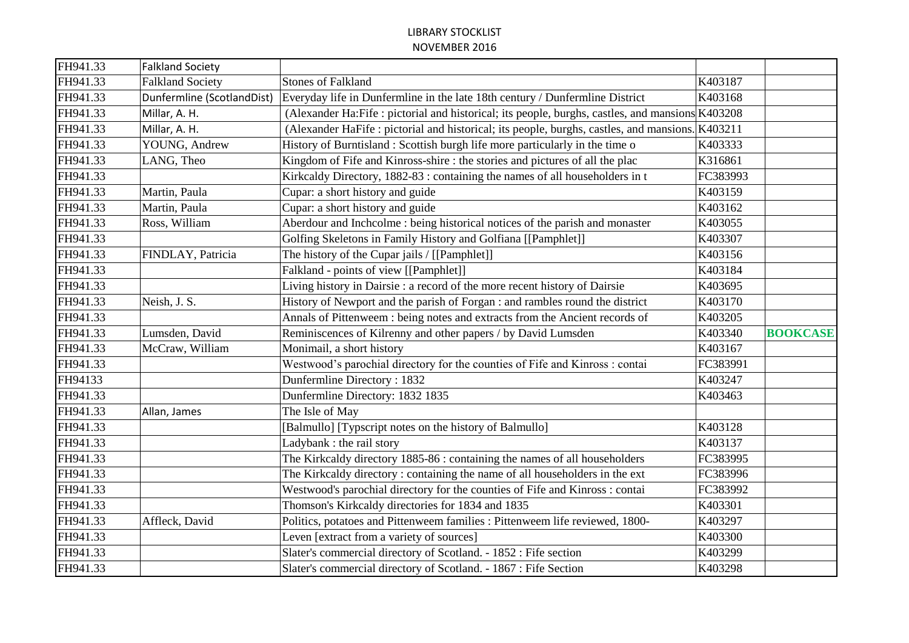| FH941.33 | <b>Falkland Society</b>    |                                                                                                 |          |                 |
|----------|----------------------------|-------------------------------------------------------------------------------------------------|----------|-----------------|
| FH941.33 | <b>Falkland Society</b>    | <b>Stones of Falkland</b>                                                                       | K403187  |                 |
| FH941.33 | Dunfermline (ScotlandDist) | Everyday life in Dunfermline in the late 18th century / Dunfermline District                    | K403168  |                 |
| FH941.33 | Millar, A. H.              | (Alexander Ha:Fife: pictorial and historical; its people, burghs, castles, and mansions K403208 |          |                 |
| FH941.33 | Millar, A. H.              | (Alexander HaFife: pictorial and historical; its people, burghs, castles, and mansions. K403211 |          |                 |
| FH941.33 | YOUNG, Andrew              | History of Burntisland: Scottish burgh life more particularly in the time of                    | K403333  |                 |
| FH941.33 | LANG, Theo                 | Kingdom of Fife and Kinross-shire : the stories and pictures of all the plac                    | K316861  |                 |
| FH941.33 |                            | Kirkcaldy Directory, 1882-83 : containing the names of all householders in t                    | FC383993 |                 |
| FH941.33 | Martin, Paula              | Cupar: a short history and guide                                                                | K403159  |                 |
| FH941.33 | Martin, Paula              | Cupar: a short history and guide                                                                | K403162  |                 |
| FH941.33 | Ross, William              | Aberdour and Inchcolme : being historical notices of the parish and monaster                    | K403055  |                 |
| FH941.33 |                            | Golfing Skeletons in Family History and Golfiana [[Pamphlet]]                                   | K403307  |                 |
| FH941.33 | FINDLAY, Patricia          | The history of the Cupar jails / [[Pamphlet]]                                                   | K403156  |                 |
| FH941.33 |                            | Falkland - points of view [[Pamphlet]]                                                          | K403184  |                 |
| FH941.33 |                            | Living history in Dairsie : a record of the more recent history of Dairsie                      | K403695  |                 |
| FH941.33 | Neish, J. S.               | History of Newport and the parish of Forgan : and rambles round the district                    | K403170  |                 |
| FH941.33 |                            | Annals of Pittenweem: being notes and extracts from the Ancient records of                      | K403205  |                 |
| FH941.33 | Lumsden, David             | Reminiscences of Kilrenny and other papers / by David Lumsden                                   | K403340  | <b>BOOKCASE</b> |
| FH941.33 | McCraw, William            | Monimail, a short history                                                                       | K403167  |                 |
| FH941.33 |                            | Westwood's parochial directory for the counties of Fife and Kinross : contai                    | FC383991 |                 |
| FH94133  |                            | Dunfermline Directory: 1832                                                                     | K403247  |                 |
| FH941.33 |                            | Dunfermline Directory: 1832 1835                                                                | K403463  |                 |
| FH941.33 | Allan, James               | The Isle of May                                                                                 |          |                 |
| FH941.33 |                            | [Balmullo] [Typscript notes on the history of Balmullo]                                         | K403128  |                 |
| FH941.33 |                            | Ladybank : the rail story                                                                       | K403137  |                 |
| FH941.33 |                            | The Kirkcaldy directory 1885-86 : containing the names of all householders                      | FC383995 |                 |
| FH941.33 |                            | The Kirkcaldy directory: containing the name of all householders in the ext                     | FC383996 |                 |
| FH941.33 |                            | Westwood's parochial directory for the counties of Fife and Kinross : contai                    | FC383992 |                 |
| FH941.33 |                            | Thomson's Kirkcaldy directories for 1834 and 1835                                               | K403301  |                 |
| FH941.33 | Affleck, David             | Politics, potatoes and Pittenweem families : Pittenweem life reviewed, 1800-                    | K403297  |                 |
| FH941.33 |                            | Leven [extract from a variety of sources]                                                       | K403300  |                 |
| FH941.33 |                            | Slater's commercial directory of Scotland. - 1852 : Fife section                                | K403299  |                 |
| FH941.33 |                            | Slater's commercial directory of Scotland. - 1867 : Fife Section                                | K403298  |                 |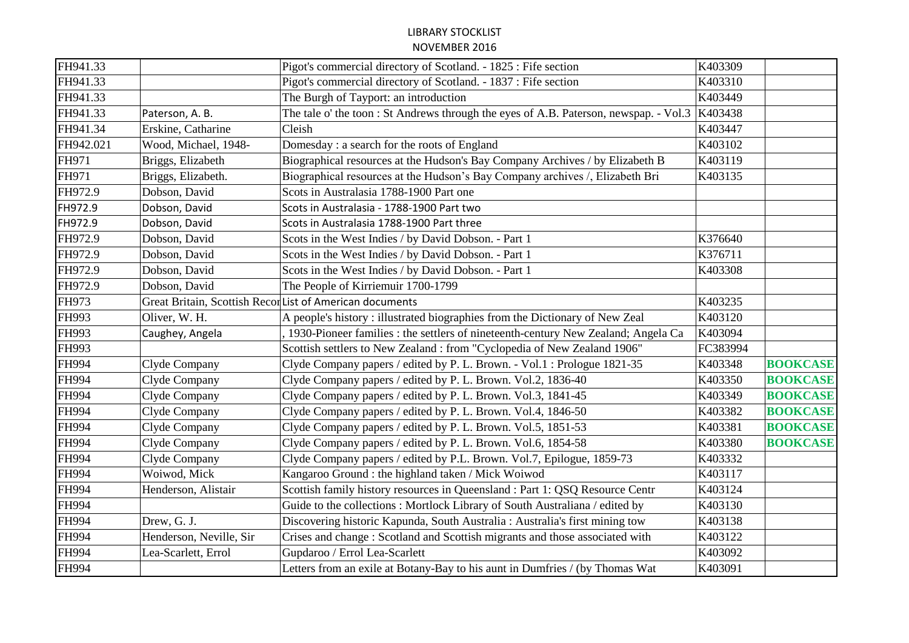| FH941.33  |                         | Pigot's commercial directory of Scotland. - 1825 : Fife section                      | K403309  |                 |
|-----------|-------------------------|--------------------------------------------------------------------------------------|----------|-----------------|
| FH941.33  |                         | Pigot's commercial directory of Scotland. - 1837 : Fife section                      | K403310  |                 |
| FH941.33  |                         | The Burgh of Tayport: an introduction                                                | K403449  |                 |
| FH941.33  | Paterson, A. B.         | The tale o' the toon: St Andrews through the eyes of A.B. Paterson, newspap. - Vol.3 | K403438  |                 |
| FH941.34  | Erskine, Catharine      | Cleish                                                                               | K403447  |                 |
| FH942.021 | Wood, Michael, 1948-    | Domesday: a search for the roots of England                                          | K403102  |                 |
| FH971     | Briggs, Elizabeth       | Biographical resources at the Hudson's Bay Company Archives / by Elizabeth B         | K403119  |                 |
| FH971     | Briggs, Elizabeth.      | Biographical resources at the Hudson's Bay Company archives /, Elizabeth Bri         | K403135  |                 |
| FH972.9   | Dobson, David           | Scots in Australasia 1788-1900 Part one                                              |          |                 |
| FH972.9   | Dobson, David           | Scots in Australasia - 1788-1900 Part two                                            |          |                 |
| FH972.9   | Dobson, David           | Scots in Australasia 1788-1900 Part three                                            |          |                 |
| FH972.9   | Dobson, David           | Scots in the West Indies / by David Dobson. - Part 1                                 | K376640  |                 |
| FH972.9   | Dobson, David           | Scots in the West Indies / by David Dobson. - Part 1                                 | K376711  |                 |
| FH972.9   | Dobson, David           | Scots in the West Indies / by David Dobson. - Part 1                                 | K403308  |                 |
| FH972.9   | Dobson, David           | The People of Kirriemuir 1700-1799                                                   |          |                 |
| FH973     |                         | Great Britain, Scottish Recor List of American documents                             | K403235  |                 |
| FH993     | Oliver, W. H.           | A people's history : illustrated biographies from the Dictionary of New Zeal         | K403120  |                 |
| FH993     | Caughey, Angela         | 1930-Pioneer families: the settlers of nineteenth-century New Zealand; Angela Ca     | K403094  |                 |
| FH993     |                         | Scottish settlers to New Zealand : from "Cyclopedia of New Zealand 1906"             | FC383994 |                 |
| FH994     | Clyde Company           | Clyde Company papers / edited by P. L. Brown. - Vol.1 : Prologue 1821-35             | K403348  | <b>BOOKCASE</b> |
| FH994     | Clyde Company           | Clyde Company papers / edited by P. L. Brown. Vol.2, 1836-40                         | K403350  | <b>BOOKCASE</b> |
| FH994     | Clyde Company           | Clyde Company papers / edited by P. L. Brown. Vol.3, 1841-45                         | K403349  | <b>BOOKCASE</b> |
| FH994     | Clyde Company           | Clyde Company papers / edited by P. L. Brown. Vol.4, 1846-50                         | K403382  | <b>BOOKCASE</b> |
| FH994     | Clyde Company           | Clyde Company papers / edited by P. L. Brown. Vol.5, 1851-53                         | K403381  | <b>BOOKCASE</b> |
| FH994     | Clyde Company           | Clyde Company papers / edited by P. L. Brown. Vol.6, 1854-58                         | K403380  | <b>BOOKCASE</b> |
| FH994     | Clyde Company           | Clyde Company papers / edited by P.L. Brown. Vol.7, Epilogue, 1859-73                | K403332  |                 |
| FH994     | Woiwod, Mick            | Kangaroo Ground: the highland taken / Mick Woiwod                                    | K403117  |                 |
| FH994     | Henderson, Alistair     | Scottish family history resources in Queensland : Part 1: QSQ Resource Centr         | K403124  |                 |
| FH994     |                         | Guide to the collections: Mortlock Library of South Australiana / edited by          | K403130  |                 |
| FH994     | Drew, G. J.             | Discovering historic Kapunda, South Australia : Australia's first mining tow         | K403138  |                 |
| FH994     | Henderson, Neville, Sir | Crises and change: Scotland and Scottish migrants and those associated with          | K403122  |                 |
| FH994     | Lea-Scarlett, Errol     | Gupdaroo / Errol Lea-Scarlett                                                        | K403092  |                 |
| FH994     |                         | Letters from an exile at Botany-Bay to his aunt in Dumfries / (by Thomas Wat         | K403091  |                 |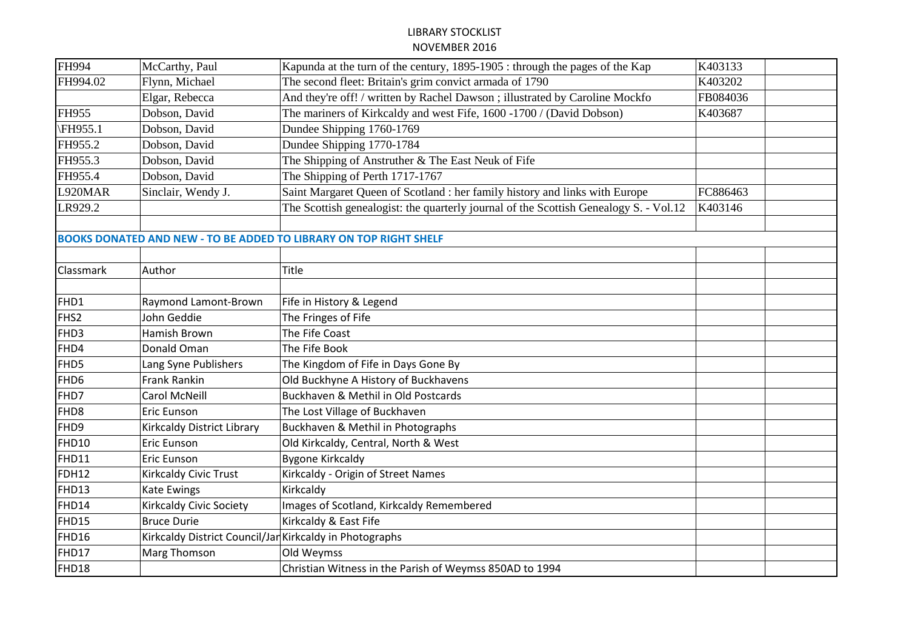| FH994            | McCarthy, Paul                 | Kapunda at the turn of the century, 1895-1905 : through the pages of the Kap          | K403133  |  |
|------------------|--------------------------------|---------------------------------------------------------------------------------------|----------|--|
| FH994.02         | Flynn, Michael                 | The second fleet: Britain's grim convict armada of 1790                               | K403202  |  |
|                  | Elgar, Rebecca                 | And they're off! / written by Rachel Dawson ; illustrated by Caroline Mockfo          | FB084036 |  |
| FH955            | Dobson, David                  | The mariners of Kirkcaldy and west Fife, 1600 -1700 / (David Dobson)                  | K403687  |  |
| \FH955.1         | Dobson, David                  | Dundee Shipping 1760-1769                                                             |          |  |
| FH955.2          | Dobson, David                  | Dundee Shipping 1770-1784                                                             |          |  |
| FH955.3          | Dobson, David                  | The Shipping of Anstruther & The East Neuk of Fife                                    |          |  |
| FH955.4          | Dobson, David                  | The Shipping of Perth 1717-1767                                                       |          |  |
| L920MAR          | Sinclair, Wendy J.             | Saint Margaret Queen of Scotland : her family history and links with Europe           | FC886463 |  |
| LR929.2          |                                | The Scottish genealogist: the quarterly journal of the Scottish Genealogy S. - Vol.12 | K403146  |  |
|                  |                                |                                                                                       |          |  |
|                  |                                | <b>BOOKS DONATED AND NEW - TO BE ADDED TO LIBRARY ON TOP RIGHT SHELF</b>              |          |  |
|                  |                                |                                                                                       |          |  |
| <b>Classmark</b> | Author                         | <b>Title</b>                                                                          |          |  |
|                  |                                |                                                                                       |          |  |
| FHD1             | Raymond Lamont-Brown           | Fife in History & Legend                                                              |          |  |
| FHS <sub>2</sub> | John Geddie                    | The Fringes of Fife                                                                   |          |  |
| FHD3             | <b>Hamish Brown</b>            | The Fife Coast                                                                        |          |  |
| FHD4             | Donald Oman                    | The Fife Book                                                                         |          |  |
| FHD5             | Lang Syne Publishers           | The Kingdom of Fife in Days Gone By                                                   |          |  |
| FHD <sub>6</sub> | Frank Rankin                   | Old Buckhyne A History of Buckhavens                                                  |          |  |
| FHD7             | <b>Carol McNeill</b>           | Buckhaven & Methil in Old Postcards                                                   |          |  |
| FHD <sub>8</sub> | <b>Eric Eunson</b>             | The Lost Village of Buckhaven                                                         |          |  |
| FHD9             | Kirkcaldy District Library     | Buckhaven & Methil in Photographs                                                     |          |  |
| FHD10            | Eric Eunson                    | Old Kirkcaldy, Central, North & West                                                  |          |  |
| FHD11            | <b>Eric Eunson</b>             | <b>Bygone Kirkcaldy</b>                                                               |          |  |
| FDH12            | Kirkcaldy Civic Trust          | Kirkcaldy - Origin of Street Names                                                    |          |  |
| FHD13            | Kate Ewings                    | Kirkcaldy                                                                             |          |  |
| FHD14            | <b>Kirkcaldy Civic Society</b> | Images of Scotland, Kirkcaldy Remembered                                              |          |  |
| FHD15            | <b>Bruce Durie</b>             | Kirkcaldy & East Fife                                                                 |          |  |
| FHD16            |                                | Kirkcaldy District Council/Jan Kirkcaldy in Photographs                               |          |  |
| FHD17            | Marg Thomson                   | Old Weymss                                                                            |          |  |
| FHD18            |                                | Christian Witness in the Parish of Weymss 850AD to 1994                               |          |  |